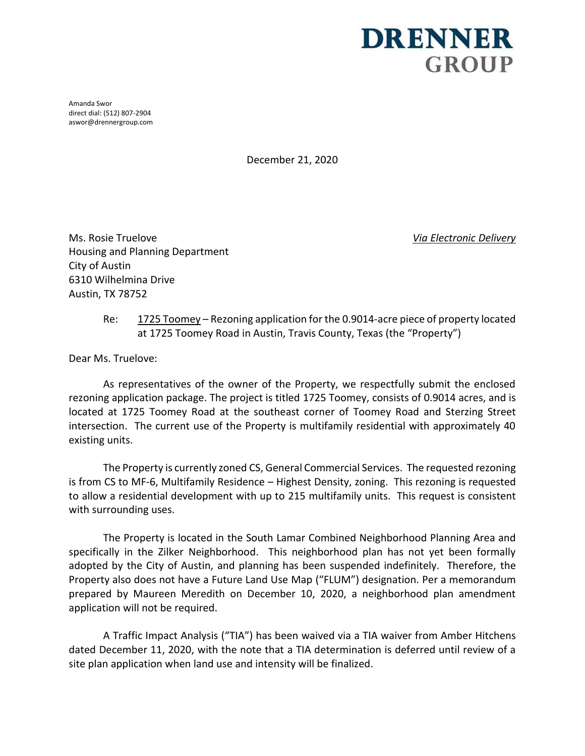## **DRENNER GROUP**

Amanda Swor direct dial: (512) 807-2904 aswor@drennergroup.com

December 21, 2020

Ms. Rosie Truelove *Via Electronic Delivery* Housing and Planning Department City of Austin 6310 Wilhelmina Drive Austin, TX 78752

Re:  $1725$  Toomey – Rezoning application for the 0.9014-acre piece of property located at 1725 Toomey Road in Austin, Travis County, Texas (the "Property")

Dear Ms. Truelove:

As representatives of the owner of the Property, we respectfully submit the enclosed rezoning application package. The project is titled 1725 Toomey, consists of 0.9014 acres, and is located at 1725 Toomey Road at the southeast corner of Toomey Road and Sterzing Street intersection. The current use of the Property is multifamily residential with approximately 40 existing units.

The Property is currently zoned CS, General Commercial Services. The requested rezoning is from CS to MF-6, Multifamily Residence – Highest Density, zoning. This rezoning is requested to allow a residential development with up to 215 multifamily units. This request is consistent with surrounding uses.

The Property is located in the South Lamar Combined Neighborhood Planning Area and specifically in the Zilker Neighborhood. This neighborhood plan has not yet been formally adopted by the City of Austin, and planning has been suspended indefinitely. Therefore, the Property also does not have a Future Land Use Map ("FLUM") designation. Per a memorandum prepared by Maureen Meredith on December 10, 2020, a neighborhood plan amendment application will not be required.

A Traffic Impact Analysis ("TIA") has been waived via a TIA waiver from Amber Hitchens dated December 11, 2020, with the note that a TIA determination is deferred until review of a site plan application when land use and intensity will be finalized.